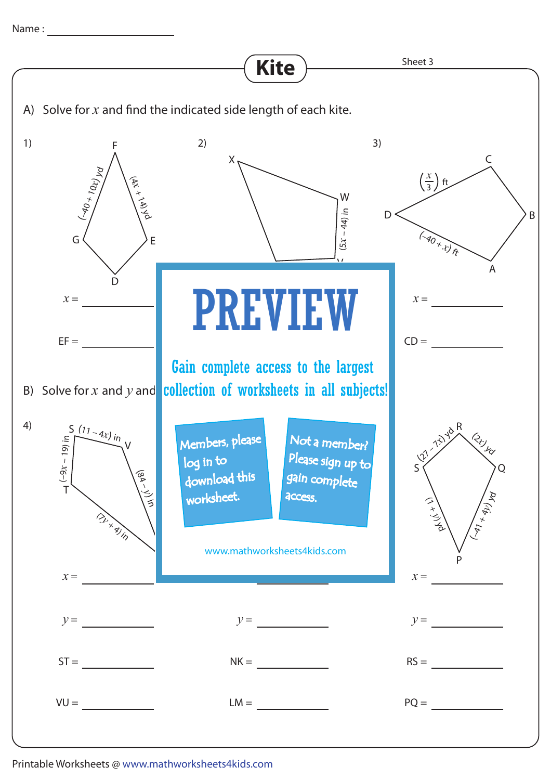